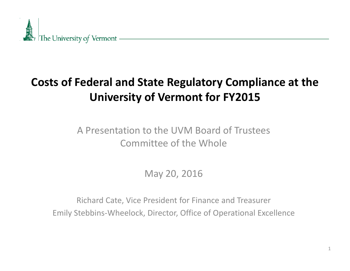

#### **Costs of Federal and State Regulatory Compliance at the University of Vermont for FY2015**

#### A Presentation to the UVM Board of Trustees Committee of the Whole

May 20, 2016

Richard Cate, Vice President for Finance and Treasurer Emily Stebbins‐Wheelock, Director, Office of Operational Excellence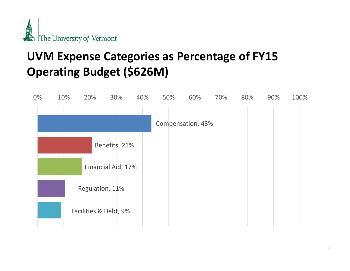

#### **UVM Expense Categories as Percentage of FY15 Operating Budget (\$626M)**

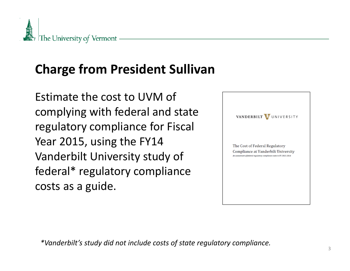

# **Charge from President Sullivan**

Estimate the cost to UVM of complying with federal and state regulatory compliance for Fiscal Year 2015, using the FY14 Vanderbilt University study of federal\* regulatory compliance costs as a guide.



*\*Vanderbilt's study did not include costs of state regulatory compliance.*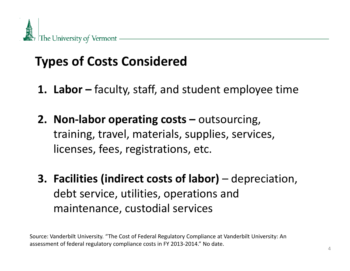

## **Types of Costs Considered**

- **1. Labor –** faculty, staff, and student employee time
- **2. Non‐labor operating costs –** outsourcing, training, travel, materials, supplies, services, licenses, fees, registrations, etc.
- **3. Facilities (indirect costs of labor)** depreciation, debt service, utilities, operations and maintenance, custodial services

Source: Vanderbilt University. "The Cost of Federal Regulatory Compliance at Vanderbilt University: An assessment of federal regulatory compliance costs in FY 2013‐2014." No date.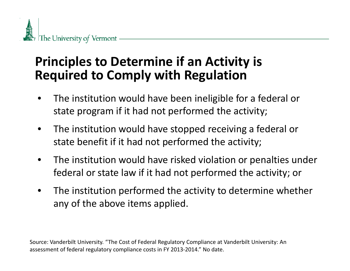### **Principles to Determine if an Activity is Required to Comply with Regulation**

- • The institution would have been ineligible for <sup>a</sup> federal or state program if it had not performed the activity;
- • The institution would have stopped receiving <sup>a</sup> federal or state benefit if it had not performed the activity;
- • The institution would have risked violation or penalties under federal or state law if it had not performed the activity; or
- $\bullet$  The institution performed the activity to determine whether any of the above items applied.

Source: Vanderbilt University. "The Cost of Federal Regulatory Compliance at Vanderbilt University: An assessment of federal regulatory compliance costs in FY 2013‐2014." No date.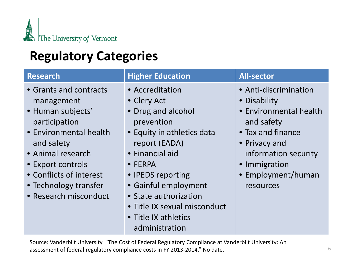

## **Regulatory Categories**

| <b>Research</b>                                                                                                                                                                                                                           | <b>Higher Education</b>                                                                                                                                                                                                                                                                                 | <b>All-sector</b>                                                                                                                                                                               |
|-------------------------------------------------------------------------------------------------------------------------------------------------------------------------------------------------------------------------------------------|---------------------------------------------------------------------------------------------------------------------------------------------------------------------------------------------------------------------------------------------------------------------------------------------------------|-------------------------------------------------------------------------------------------------------------------------------------------------------------------------------------------------|
| • Grants and contracts<br>management<br>· Human subjects'<br>participation<br>• Environmental health<br>and safety<br>• Animal research<br>• Export controls<br>• Conflicts of interest<br>• Technology transfer<br>• Research misconduct | • Accreditation<br>• Clery Act<br>• Drug and alcohol<br>prevention<br>• Equity in athletics data<br>report (EADA)<br>• Financial aid<br>$\bullet$ FERPA<br>• IPEDS reporting<br>• Gainful employment<br>• State authorization<br>• Title IX sexual misconduct<br>• Title IX athletics<br>administration | • Anti-discrimination<br>• Disability<br>• Environmental health<br>and safety<br>• Tax and finance<br>• Privacy and<br>information security<br>• Immigration<br>• Employment/human<br>resources |

Source: Vanderbilt University. "The Cost of Federal Regulatory Compliance at Vanderbilt University: An assessment of federal regulatory compliance costs in FY 2013‐2014." No date.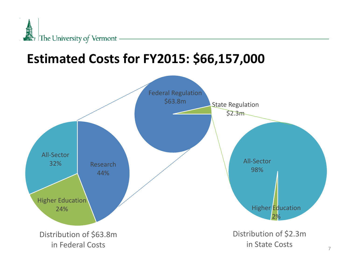

## **Estimated Costs for FY2015: \$66,157,000**

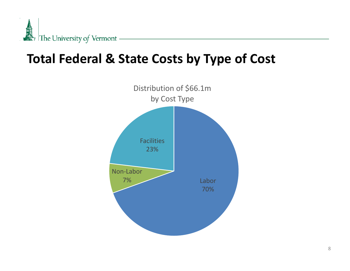

### **Total Federal & State Costs by Type of Cost**